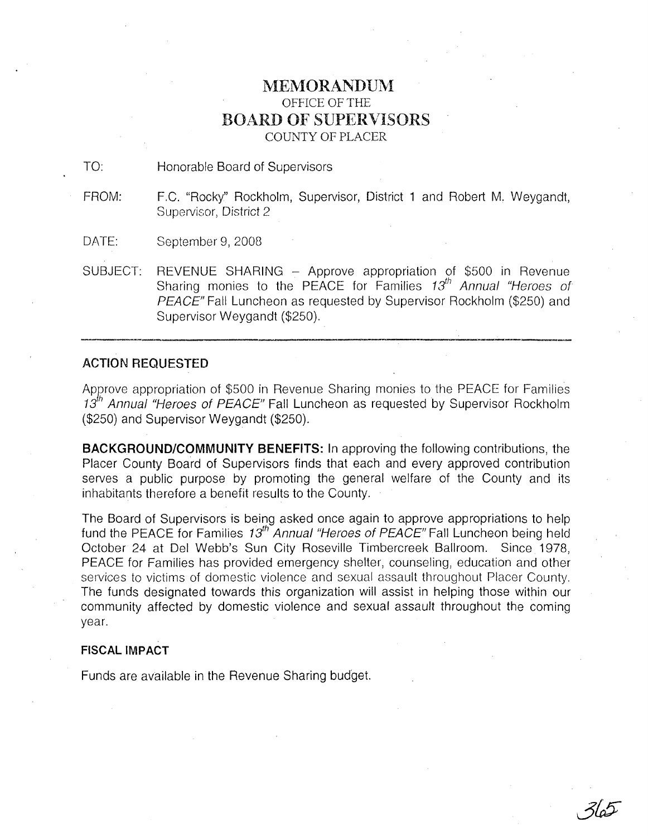## **MEMORANDUM** OFFICE OF THE BOARD OF SUPERVISORS COUNTY OF PLACER

TO: Honorable Board of Supervisors

- FROM: F.C. "Rocky" Rockholm, Supervisor, District 1 and Robert M, Weygandt, Supervisor, District 2
- DATE: September 9, 2008
- SUBJECT: REVENUE SHARING Approve appropriation of \$500 in Revenue Sharing monies to the PEACE for Families  $13<sup>th</sup>$  Annual "Heroes of PEACE" Fall Luncheon as requested by Supervisor Rockholm (\$250) and Supervisor Weygandt (\$250).

## ACTION REQUESTED

Apgrove appropriation of \$500 in Revenue Sharing monies to the PEACE for Families 13<sup>th</sup> Annual "Heroes of PEACE" Fall Luncheon as requested by Supervisor Rockholm (\$250) and Supervisor Weygandt (\$250).

**BACKGROUND/COMMUNITY BENEFITS:** In approving the following contributions, the Placer County Board of Supervisors finds that each and every approved contribution serves a public purpose by promoting the general welfare of the County and its inhabitants therefore a benefit results to the County.

The Board of Supervisors is being asked once again to approve appropriations to help fund the PEACE for Families  $13^{th}$  Annual "Heroes of PEACE" Fall Luncheon being held October 24 at Del Webb's Sun City Roseville Timbercreek Ballroom. Since 1978, PEACE for Families has provided emergency shelter, counseling, education and other services to victims of domestic violence and sexual assault throughout Placer County. The funds designated towards this organization will assist in helping those within our community affected by domestic violence and sexual assault throughout the coming year.

 $365$ 

## **FISCAL IMPACT**

Funds are available in the Revenue Sharing budget.